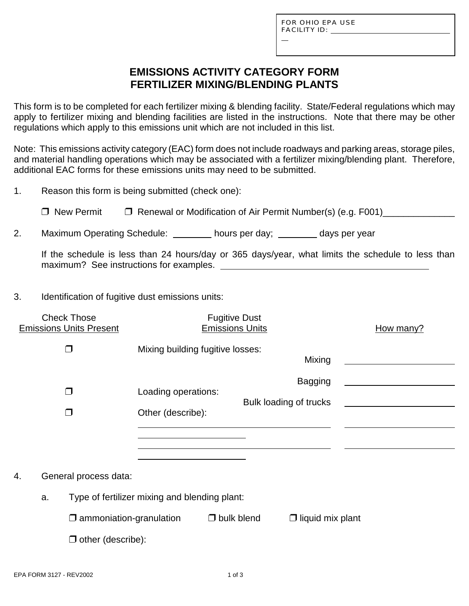L

### **EMISSIONS ACTIVITY CATEGORY FORM FERTILIZER MIXING/BLENDING PLANTS**

This form is to be completed for each fertilizer mixing & blending facility. State/Federal regulations which may apply to fertilizer mixing and blending facilities are listed in the instructions. Note that there may be other regulations which apply to this emissions unit which are not included in this list.

Note: This emissions activity category (EAC) form does not include roadways and parking areas, storage piles, and material handling operations which may be associated with a fertilizer mixing/blending plant. Therefore, additional EAC forms for these emissions units may need to be submitted.

| 1. |  |  |  | Reason this form is being submitted (check one): |
|----|--|--|--|--------------------------------------------------|
|----|--|--|--|--------------------------------------------------|

□ New Permit □ Renewal or Modification of Air Permit Number(s) (e.g. F001)

2. Maximum Operating Schedule: hours per day; days per year

If the schedule is less than 24 hours/day or 365 days/year, what limits the schedule to less than maximum? See instructions for examples.

#### 3. Identification of fugitive dust emissions units:

| <b>Check Those</b><br><b>Emissions Units Present</b> | <b>Fugitive Dust</b><br><b>Emissions Units</b> |                   |                         | How many? |
|------------------------------------------------------|------------------------------------------------|-------------------|-------------------------|-----------|
| $\Box$                                               | Mixing building fugitive losses:               |                   | Mixing                  |           |
| $\Box$                                               |                                                |                   | <b>Bagging</b>          |           |
|                                                      | Loading operations:                            |                   | Bulk loading of trucks  |           |
| $\Box$                                               | Other (describe):                              |                   |                         |           |
|                                                      |                                                |                   |                         |           |
|                                                      |                                                |                   |                         |           |
| General process data:<br>4.                          |                                                |                   |                         |           |
| Type of fertilizer mixing and blending plant:<br>a.  |                                                |                   |                         |           |
| $\square$ ammoniation-granulation                    |                                                | $\Box$ bulk blend | $\Box$ liquid mix plant |           |
| $\Box$ other (describe):                             |                                                |                   |                         |           |
|                                                      |                                                |                   |                         |           |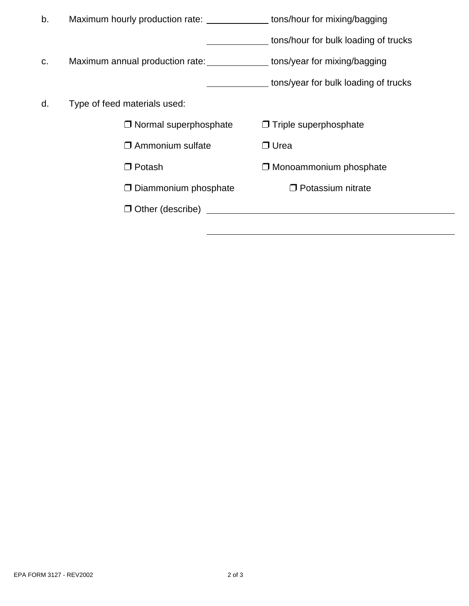| b. |                              | Maximum hourly production rate: _______________ tons/hour for mixing/bagging |                                      |  |
|----|------------------------------|------------------------------------------------------------------------------|--------------------------------------|--|
|    |                              |                                                                              | tons/hour for bulk loading of trucks |  |
| C. |                              | Maximum annual production rate: ______________ tons/year for mixing/bagging  |                                      |  |
|    |                              |                                                                              | tons/year for bulk loading of trucks |  |
| d. | Type of feed materials used: |                                                                              |                                      |  |
|    |                              | $\Box$ Normal superphosphate                                                 | $\Box$ Triple superphosphate         |  |
|    |                              | $\square$ Ammonium sulfate                                                   | $\Box$ Urea                          |  |
|    |                              | $\Box$ Potash                                                                | $\Box$ Monoammonium phosphate        |  |
|    |                              | $\Box$ Diammonium phosphate                                                  | $\Box$ Potassium nitrate             |  |
|    |                              | $\Box$ Other (describe) and $\Box$ other (describe)                          |                                      |  |
|    |                              |                                                                              |                                      |  |

 $\overline{a}$ 

 $\overline{a}$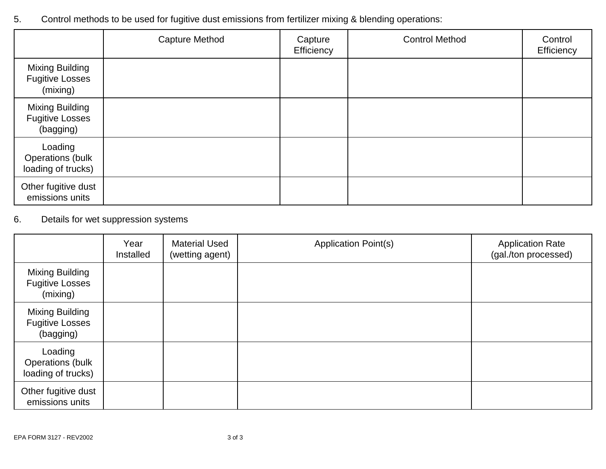# 5. Control methods to be used for fugitive dust emissions from fertilizer mixing & blending operations:

|                                                          | <b>Capture Method</b> | Capture<br>Efficiency | <b>Control Method</b> | Control<br>Efficiency |
|----------------------------------------------------------|-----------------------|-----------------------|-----------------------|-----------------------|
| Mixing Building<br><b>Fugitive Losses</b><br>(mixing)    |                       |                       |                       |                       |
| Mixing Building<br><b>Fugitive Losses</b><br>(bagging)   |                       |                       |                       |                       |
| Loading<br><b>Operations (bulk</b><br>loading of trucks) |                       |                       |                       |                       |
| Other fugitive dust<br>emissions units                   |                       |                       |                       |                       |

# 6. Details for wet suppression systems

|                                                              | Year<br>Installed | <b>Material Used</b><br>(wetting agent) | <b>Application Point(s)</b> | <b>Application Rate</b><br>(gal./ton processed) |
|--------------------------------------------------------------|-------------------|-----------------------------------------|-----------------------------|-------------------------------------------------|
| <b>Mixing Building</b><br><b>Fugitive Losses</b><br>(mixing) |                   |                                         |                             |                                                 |
| Mixing Building<br><b>Fugitive Losses</b><br>(bagging)       |                   |                                         |                             |                                                 |
| Loading<br>Operations (bulk<br>loading of trucks)            |                   |                                         |                             |                                                 |
| Other fugitive dust<br>emissions units                       |                   |                                         |                             |                                                 |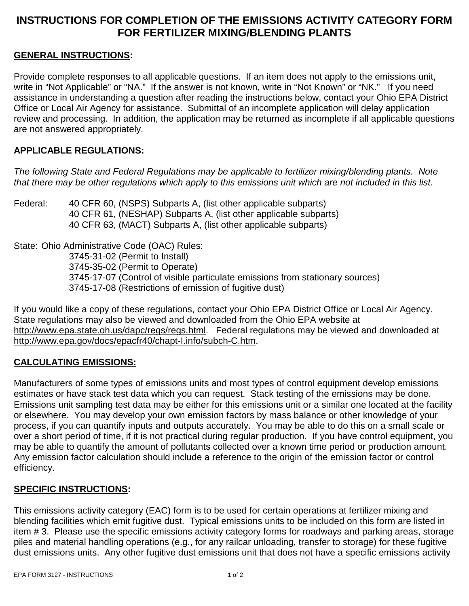### **INSTRUCTIONS FOR COMPLETION OF THE EMISSIONS ACTIVITY CATEGORY FORM FOR FERTILIZER MIXING/BLENDING PLANTS**

#### **GENERAL INSTRUCTIONS:**

Provide complete responses to all applicable questions. If an item does not apply to the emissions unit, write in "Not Applicable" or "NA." If the answer is not known, write in "Not Known" or "NK." If you need assistance in understanding a question after reading the instructions below, contact your Ohio EPA District Office or Local Air Agency for assistance. Submittal of an incomplete application will delay application review and processing. In addition, the application may be returned as incomplete if all applicable questions are not answered appropriately.

#### **APPLICABLE REGULATIONS:**

*The following State and Federal Regulations may be applicable to fertilizer mixing/blending plants. Note that there may be other regulations which apply to this emissions unit which are not included in this list.*

Federal: 40 CFR 60, (NSPS) Subparts A, (list other applicable subparts) 40 CFR 61, (NESHAP) Subparts A, (list other applicable subparts) 40 CFR 63, (MACT) Subparts A, (list other applicable subparts)

State: Ohio Administrative Code (OAC) Rules: 3745-31-02 (Permit to Install) 3745-35-02 (Permit to Operate) 3745-17-07 (Control of visible particulate emissions from stationary sources) 3745-17-08 (Restrictions of emission of fugitive dust)

If you would like a copy of these regulations, contact your Ohio EPA District Office or Local Air Agency. State regulations may also be viewed and downloaded from the Ohio EPA website at http://www.epa.state.oh.us/dapc/regs/regs.html. Federal regulations may be viewed and downloaded at http://www.epa.gov/docs/epacfr40/chapt-I.info/subch-C.htm.

#### **CALCULATING EMISSIONS:**

Manufacturers of some types of emissions units and most types of control equipment develop emissions estimates or have stack test data which you can request. Stack testing of the emissions may be done. Emissions unit sampling test data may be either for this emissions unit or a similar one located at the facility or elsewhere. You may develop your own emission factors by mass balance or other knowledge of your process, if you can quantify inputs and outputs accurately. You may be able to do this on a small scale or over a short period of time, if it is not practical during regular production. If you have control equipment, you may be able to quantify the amount of pollutants collected over a known time period or production amount. Any emission factor calculation should include a reference to the origin of the emission factor or control efficiency.

#### **SPECIFIC INSTRUCTIONS:**

This emissions activity category (EAC) form is to be used for certain operations at fertilizer mixing and blending facilities which emit fugitive dust. Typical emissions units to be included on this form are listed in item # 3. Please use the specific emissions activity category forms for roadways and parking areas, storage piles and material handling operations (e.g., for any railcar unloading, transfer to storage) for these fugitive dust emissions units. Any other fugitive dust emissions unit that does not have a specific emissions activity